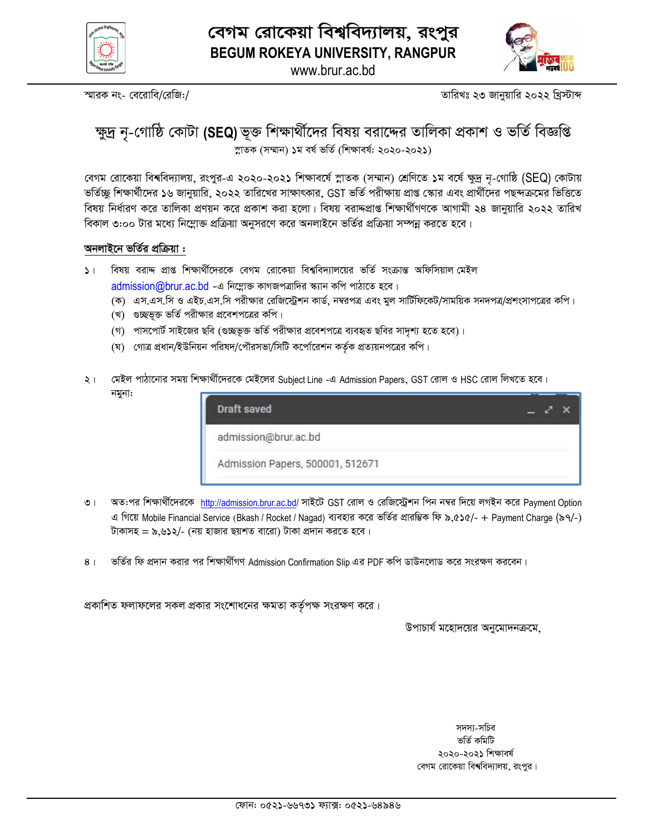



www.brur.ac.bd

স্মারক নং- বেরোবি/রেজি:/

তারিখঃ ২৩ জানুয়ারি ২০২২ খ্রিস্টাব্দ

# ক্ষুদ্র নৃ-গোষ্ঠি কোটা (SEQ) ভূক্ত শিক্ষার্থীদের বিষয় বরাদ্দের তালিকা প্রকাশ ও ভর্তি বিজ্ঞপ্তি স্নাতক (সম্মান) ১ম বৰ্ষ ভৰ্তি (শিক্ষাবৰ্ষ: ২০২০-২০২১)

বেগম রোকেয়া বিশ্ববিদ্যালয়, রংপুর-এ ২০২০-২০২১ শিক্ষাবর্ষে স্নাতক (সম্মান) শ্রেণিতে ১ম বর্ষে ক্ষুদ্র নৃ-গোষ্ঠি (SEQ) কোটায় ভর্তিচ্ছু শিক্ষার্থীদের ১৬ জানুয়ারি, ২০২২ তারিখের সাক্ষাৎকার, GST ভর্তি পরীক্ষায় প্রাপ্ত স্কোর এবং প্রার্থীদের পছন্দক্রমের ভিত্তিতে বিষয় নির্ধারণ করে তালিকা প্রণয়ন করে প্রকাশ করা হলো। বিষয় বরাদ্দপ্রাপ্ত শিক্ষার্থীগণকে আগামী ২৪ জানুয়ারি ২০২২ তারিখ বিকাল ৩:০০ টার মধ্যে নিম্লোক্ত প্রক্রিয়া অনুসরণে করে অনলাইনে ভর্তির প্রক্রিয়া সম্পন্ন করতে হবে।

#### অনলাইনে ভর্তির প্রক্রিয়া :

- ১। বিষয় বরাদ্দ প্রাপ্ত শিক্ষার্থীদেরকে বেগম রোকেয়া বিশ্ববিদ্যালয়ের ভর্তি সংক্রান্ত অফিসিয়াল মেইল admission@brur.ac.bd -এ নিম্লোক্ত কাগজপত্রাদির স্ক্যান কপি পাঠাতে হবে।
	- (ক) এস.এস.সি ও এইচ.এস.সি পরীক্ষার রেজিস্ট্রেশন কার্ড, নম্বরপত্র এবং মুল সার্টিফিকেট/সাময়িক সনদপত্র/প্রশংসাপত্রের কপি।
	- (খ) গুচ্ছভূক্ত ভর্তি পরীক্ষার প্রবেশপত্রের কপি।
	- (গ) পাসপোর্ট সাইজের ছবি (গুচ্ছভূক্ত ভর্তি পরীক্ষার প্রবেশপত্রে ব্যবহৃত ছবির সাদৃশ্য হতে হবে)।
	- (ঘ) গোত্র প্রধান/ইউনিয়ন পরিষদ/পৌরসভা/সিটি কর্পোরেশন কর্তৃক প্রত্যয়নপত্রের কপি।
- মেইল পাঠানোর সময় শিক্ষার্থীদেরকে মেইলের Subject Line -এ Admission Papers, GST রোল ও HSC রোল লিখতে হবে।  $\geq 1$ নমুনা:

| Draft saved                      |  |
|----------------------------------|--|
| admission@brur.ac.bd             |  |
| Admission Papers, 500001, 512671 |  |

- অত:পর শিক্ষার্থীদেরকে http://admission.brur.ac.bd/ সাইটে GST রোল ও রেজিস্ট্রেশন পিন নম্বর দিয়ে লগইন করে Payment Option  $\overline{O}$  | এ গিয়ে Mobile Financial Service (Bkash / Rocket / Nagad) ব্যবহার করে ভর্তির প্রারম্ভিক ফি ৯,৫১৫/- + Payment Charge (৯৭/-) টাকাসহ = ৯.৬১২/- (নয় হাজার ছয়শত বারো) টাকা প্রদান করতে হবে।
- ভর্তির ফি প্রদান করার পর শিক্ষার্থীগণ Admission Confirmation Slip এর PDF কপি ডাউনলোড করে সংরক্ষণ করবেন।  $8<sup>1</sup>$

প্রকাশিত ফলাফলের সকল প্রকার সংশোধনের ক্ষমতা কর্তৃপক্ষ সংরক্ষণ করে।

উপাচার্য মহোদয়ের অনুমোদনক্রমে.

সদস্য-সচিব ভৰ্তি কমিটি ২০২০-২০২১ শিক্ষাবর্ষ বেগম রোকেয়া বিশ্ববিদ্যালয়, রংপুর।